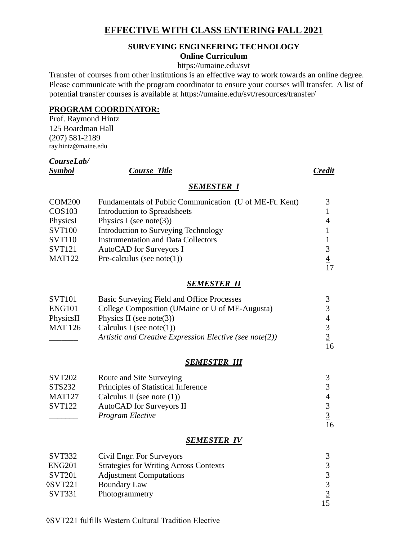# **EFFECTIVE WITH CLASS ENTERING FALL 2021**

## **SURVEYING ENGINEERING TECHNOLOGY Online Curriculum**

https://umaine.edu/svt

Transfer of courses from other institutions is an effective way to work towards an online degree. Please communicate with the program coordinator to ensure your courses will transfer. A list of potential transfer courses is available at https://umaine.edu/svt/resources/transfer/

# **PROGRAM COORDINATOR:**

Prof. Raymond Hintz 125 Boardman Hall (207) 581-2189 ray.hintz@maine.edu

# *CourseLab/*

**Symbol Course Title Course Credit** 

#### *SEMESTER I*

| <b>COM200</b> | Fundamentals of Public Communication (U of ME-Ft. Kent) |    |
|---------------|---------------------------------------------------------|----|
| COS103        | Introduction to Spreadsheets                            |    |
| PhysicsI      | Physics I (see note(3))                                 |    |
| <b>SVT100</b> | Introduction to Surveying Technology                    |    |
| <b>SVT110</b> | <b>Instrumentation and Data Collectors</b>              |    |
| <b>SVT121</b> | AutoCAD for Surveyors I                                 |    |
| <b>MAT122</b> | Pre-calculus (see note(1))                              |    |
|               |                                                         | 17 |

#### *SEMESTER II*

| <b>SVT101</b>  | Basic Surveying Field and Office Processes              |    |
|----------------|---------------------------------------------------------|----|
| <b>ENG101</b>  | College Composition (UMaine or U of ME-Augusta)         |    |
| PhysicsII      | Physics II (see note(3))                                |    |
| <b>MAT 126</b> | Calculus I (see note(1))                                |    |
|                | Artistic and Creative Expression Elective (see note(2)) |    |
|                |                                                         | 16 |

#### *SEMESTER III*

| <b>SVT202</b> | Route and Site Surveying            |    |
|---------------|-------------------------------------|----|
| <b>STS232</b> | Principles of Statistical Inference |    |
| <b>MAT127</b> | Calculus II (see note $(1)$ )       |    |
| <b>SVT122</b> | <b>AutoCAD</b> for Surveyors II     |    |
|               | <b>Program Elective</b>             |    |
|               |                                     | 16 |

#### *SEMESTER IV*

| SVT332            | Civil Engr. For Surveyors                     |  |
|-------------------|-----------------------------------------------|--|
| <b>ENG201</b>     | <b>Strategies for Writing Across Contexts</b> |  |
| <b>SVT201</b>     | <b>Adjustment Computations</b>                |  |
| $\Diamond$ SVT221 | <b>Boundary Law</b>                           |  |
| SVT331            | Photogrammetry                                |  |
|                   |                                               |  |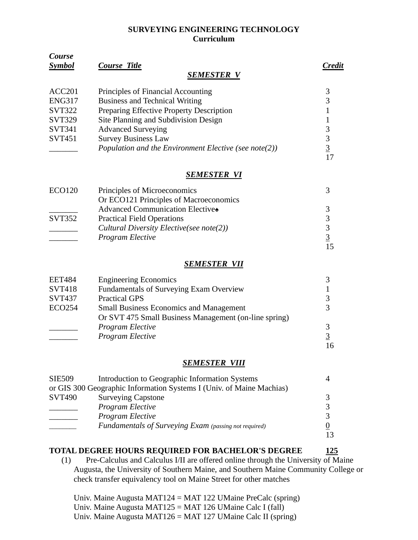#### **SURVEYING ENGINEERING TECHNOLOGY Curriculum**

| Course             |                                                       |                                            |
|--------------------|-------------------------------------------------------|--------------------------------------------|
| <b>Symbol</b>      | <b>Course Title</b>                                   | <b>Credit</b>                              |
|                    | <b>SEMESTER V</b>                                     |                                            |
| ACC <sub>201</sub> | Principles of Financial Accounting                    | 3                                          |
| <b>ENG317</b>      | <b>Business and Technical Writing</b>                 | 3                                          |
| <b>SVT322</b>      | Preparing Effective Property Description              | $\mathbf{1}$                               |
| <b>SVT329</b>      | Site Planning and Subdivision Design                  | $\mathbf{1}$                               |
| <b>SVT341</b>      | <b>Advanced Surveying</b>                             | 3                                          |
| <b>SVT451</b>      | <b>Survey Business Law</b>                            | 3                                          |
|                    | Population and the Environment Elective (see note(2)) | $\overline{3}$<br>17                       |
|                    | <b>SEMESTER VI</b>                                    |                                            |
| <b>ECO120</b>      | Principles of Microeconomics                          | 3                                          |
|                    | Or ECO121 Principles of Macroeconomics                |                                            |
|                    | Advanced Communication Elective                       | 3                                          |
| <b>SVT352</b>      | <b>Practical Field Operations</b>                     |                                            |
|                    | Cultural Diversity Elective(see note(2))              |                                            |
|                    | Program Elective                                      | $\begin{array}{c} 3 \\ 3 \\ 3 \end{array}$ |
|                    |                                                       | 15                                         |
|                    | <b>SEMESTER VII</b>                                   |                                            |
| <b>EET484</b>      | <b>Engineering Economics</b>                          | 3                                          |
| <b>SVT418</b>      | Fundamentals of Surveying Exam Overview               | $\mathbf{1}$                               |
| <b>SVT437</b>      | <b>Practical GPS</b>                                  | 3                                          |
| <b>ECO254</b>      | <b>Small Business Economics and Management</b>        | 3                                          |
|                    | Or SVT 475 Small Business Management (on-line spring) |                                            |
|                    | Program Elective                                      | 3                                          |
|                    | Program Elective                                      | $\overline{3}$                             |
|                    |                                                       | 16                                         |

## *SEMESTER VIII*

| <b>SIE509</b> | Introduction to Geographic Information Systems                       |    |
|---------------|----------------------------------------------------------------------|----|
|               | or GIS 300 Geographic Information Systems I (Univ. of Maine Machias) |    |
| <b>SVT490</b> | <b>Surveying Capstone</b>                                            |    |
|               | Program Elective                                                     |    |
|               | <b>Program Elective</b>                                              |    |
|               | <b>Fundamentals of Surveying Exam (passing not required)</b>         |    |
|               |                                                                      | 13 |

## **TOTAL DEGREE HOURS REQUIRED FOR BACHELOR'S DEGREE 125**

(1) Pre-Calculus and Calculus I/II are offered online through the University of Maine Augusta, the University of Southern Maine, and Southern Maine Community College or check transfer equivalency tool on Maine Street for other matches

Univ. Maine Augusta MAT124 = MAT 122 UMaine PreCalc (spring) Univ. Maine Augusta MAT125 = MAT 126 UMaine Calc I (fall) Univ. Maine Augusta MAT126 = MAT 127 UMaine Calc II (spring)